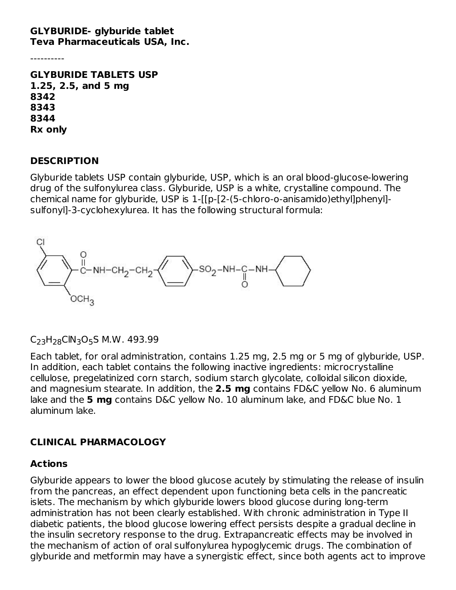#### **GLYBURIDE- glyburide tablet Teva Pharmaceuticals USA, Inc.**

----------

**GLYBURIDE TABLETS USP 1.25, 2.5, and 5 mg 8342 8343 8344 Rx only**

#### **DESCRIPTION**

Glyburide tablets USP contain glyburide, USP, which is an oral blood-glucose-lowering drug of the sulfonylurea class. Glyburide, USP is a white, crystalline compound. The chemical name for glyburide, USP is 1-[[p-[2-(5-chloro-o-anisamido)ethyl]phenyl] sulfonyl]-3-cyclohexylurea. It has the following structural formula:



# C<sub>23</sub>H<sub>28</sub>ClN<sub>3</sub>O<sub>5</sub>S M.W. 493.99

Each tablet, for oral administration, contains 1.25 mg, 2.5 mg or 5 mg of glyburide, USP. In addition, each tablet contains the following inactive ingredients: microcrystalline cellulose, pregelatinized corn starch, sodium starch glycolate, colloidal silicon dioxide, and magnesium stearate. In addition, the **2.5 mg** contains FD&C yellow No. 6 aluminum lake and the **5 mg** contains D&C yellow No. 10 aluminum lake, and FD&C blue No. 1 aluminum lake.

#### **CLINICAL PHARMACOLOGY**

#### **Actions**

Glyburide appears to lower the blood glucose acutely by stimulating the release of insulin from the pancreas, an effect dependent upon functioning beta cells in the pancreatic islets. The mechanism by which glyburide lowers blood glucose during long-term administration has not been clearly established. With chronic administration in Type II diabetic patients, the blood glucose lowering effect persists despite a gradual decline in the insulin secretory response to the drug. Extrapancreatic effects may be involved in the mechanism of action of oral sulfonylurea hypoglycemic drugs. The combination of glyburide and metformin may have a synergistic effect, since both agents act to improve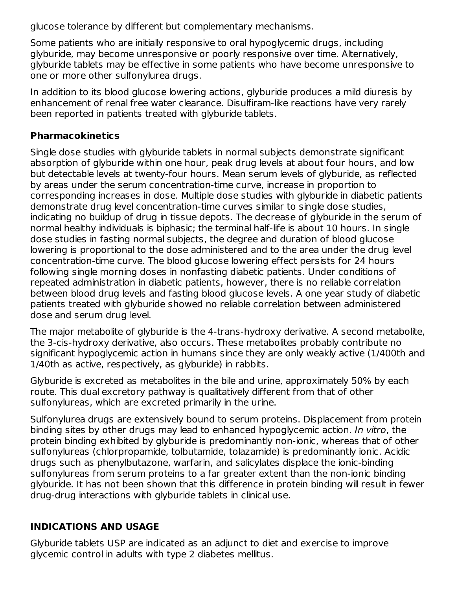glucose tolerance by different but complementary mechanisms.

Some patients who are initially responsive to oral hypoglycemic drugs, including glyburide, may become unresponsive or poorly responsive over time. Alternatively, glyburide tablets may be effective in some patients who have become unresponsive to one or more other sulfonylurea drugs.

In addition to its blood glucose lowering actions, glyburide produces a mild diuresis by enhancement of renal free water clearance. Disulfiram-like reactions have very rarely been reported in patients treated with glyburide tablets.

### **Pharmacokinetics**

Single dose studies with glyburide tablets in normal subjects demonstrate significant absorption of glyburide within one hour, peak drug levels at about four hours, and low but detectable levels at twenty-four hours. Mean serum levels of glyburide, as reflected by areas under the serum concentration-time curve, increase in proportion to corresponding increases in dose. Multiple dose studies with glyburide in diabetic patients demonstrate drug level concentration-time curves similar to single dose studies, indicating no buildup of drug in tissue depots. The decrease of glyburide in the serum of normal healthy individuals is biphasic; the terminal half-life is about 10 hours. In single dose studies in fasting normal subjects, the degree and duration of blood glucose lowering is proportional to the dose administered and to the area under the drug level concentration-time curve. The blood glucose lowering effect persists for 24 hours following single morning doses in nonfasting diabetic patients. Under conditions of repeated administration in diabetic patients, however, there is no reliable correlation between blood drug levels and fasting blood glucose levels. A one year study of diabetic patients treated with glyburide showed no reliable correlation between administered dose and serum drug level.

The major metabolite of glyburide is the 4-trans-hydroxy derivative. A second metabolite, the 3-cis-hydroxy derivative, also occurs. These metabolites probably contribute no significant hypoglycemic action in humans since they are only weakly active (1/400th and 1/40th as active, respectively, as glyburide) in rabbits.

Glyburide is excreted as metabolites in the bile and urine, approximately 50% by each route. This dual excretory pathway is qualitatively different from that of other sulfonylureas, which are excreted primarily in the urine.

Sulfonylurea drugs are extensively bound to serum proteins. Displacement from protein binding sites by other drugs may lead to enhanced hypoglycemic action. In vitro, the protein binding exhibited by glyburide is predominantly non-ionic, whereas that of other sulfonylureas (chlorpropamide, tolbutamide, tolazamide) is predominantly ionic. Acidic drugs such as phenylbutazone, warfarin, and salicylates displace the ionic-binding sulfonylureas from serum proteins to a far greater extent than the non-ionic binding glyburide. It has not been shown that this difference in protein binding will result in fewer drug-drug interactions with glyburide tablets in clinical use.

## **INDICATIONS AND USAGE**

Glyburide tablets USP are indicated as an adjunct to diet and exercise to improve glycemic control in adults with type 2 diabetes mellitus.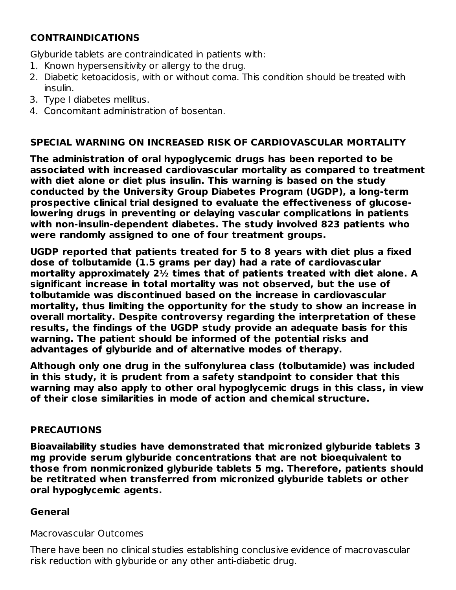## **CONTRAINDICATIONS**

Glyburide tablets are contraindicated in patients with:

- 1. Known hypersensitivity or allergy to the drug.
- 2. Diabetic ketoacidosis, with or without coma. This condition should be treated with insulin.
- 3. Type I diabetes mellitus.
- 4. Concomitant administration of bosentan.

### **SPECIAL WARNING ON INCREASED RISK OF CARDIOVASCULAR MORTALITY**

**The administration of oral hypoglycemic drugs has been reported to be associated with increased cardiovascular mortality as compared to treatment with diet alone or diet plus insulin. This warning is based on the study conducted by the University Group Diabetes Program (UGDP), a long-term prospective clinical trial designed to evaluate the effectiveness of glucoselowering drugs in preventing or delaying vascular complications in patients with non-insulin-dependent diabetes. The study involved 823 patients who were randomly assigned to one of four treatment groups.**

**UGDP reported that patients treated for 5 to 8 years with diet plus a fixed dose of tolbutamide (1.5 grams per day) had a rate of cardiovascular mortality approximately 2½ times that of patients treated with diet alone. A significant increase in total mortality was not observed, but the use of tolbutamide was discontinued based on the increase in cardiovascular mortality, thus limiting the opportunity for the study to show an increase in overall mortality. Despite controversy regarding the interpretation of these results, the findings of the UGDP study provide an adequate basis for this warning. The patient should be informed of the potential risks and advantages of glyburide and of alternative modes of therapy.**

**Although only one drug in the sulfonylurea class (tolbutamide) was included in this study, it is prudent from a safety standpoint to consider that this warning may also apply to other oral hypoglycemic drugs in this class, in view of their close similarities in mode of action and chemical structure.**

#### **PRECAUTIONS**

**Bioavailability studies have demonstrated that micronized glyburide tablets 3 mg provide serum glyburide concentrations that are not bioequivalent to those from nonmicronized glyburide tablets 5 mg. Therefore, patients should be retitrated when transferred from micronized glyburide tablets or other oral hypoglycemic agents.**

#### **General**

#### Macrovascular Outcomes

There have been no clinical studies establishing conclusive evidence of macrovascular risk reduction with glyburide or any other anti-diabetic drug.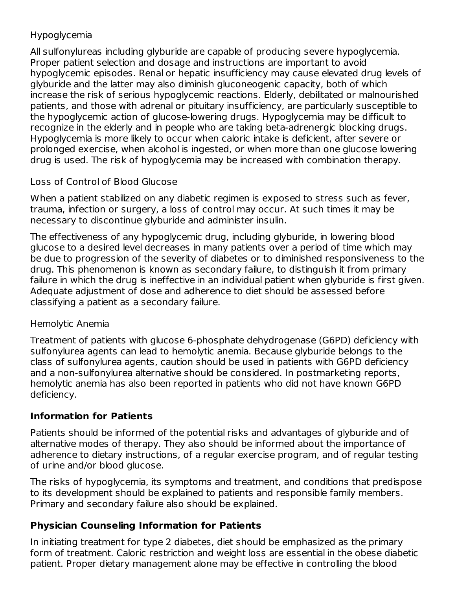## Hypoglycemia

All sulfonylureas including glyburide are capable of producing severe hypoglycemia. Proper patient selection and dosage and instructions are important to avoid hypoglycemic episodes. Renal or hepatic insufficiency may cause elevated drug levels of glyburide and the latter may also diminish gluconeogenic capacity, both of which increase the risk of serious hypoglycemic reactions. Elderly, debilitated or malnourished patients, and those with adrenal or pituitary insufficiency, are particularly susceptible to the hypoglycemic action of glucose-lowering drugs. Hypoglycemia may be difficult to recognize in the elderly and in people who are taking beta-adrenergic blocking drugs. Hypoglycemia is more likely to occur when caloric intake is deficient, after severe or prolonged exercise, when alcohol is ingested, or when more than one glucose lowering drug is used. The risk of hypoglycemia may be increased with combination therapy.

### Loss of Control of Blood Glucose

When a patient stabilized on any diabetic regimen is exposed to stress such as fever, trauma, infection or surgery, a loss of control may occur. At such times it may be necessary to discontinue glyburide and administer insulin.

The effectiveness of any hypoglycemic drug, including glyburide, in lowering blood glucose to a desired level decreases in many patients over a period of time which may be due to progression of the severity of diabetes or to diminished responsiveness to the drug. This phenomenon is known as secondary failure, to distinguish it from primary failure in which the drug is ineffective in an individual patient when glyburide is first given. Adequate adjustment of dose and adherence to diet should be assessed before classifying a patient as a secondary failure.

#### Hemolytic Anemia

Treatment of patients with glucose 6-phosphate dehydrogenase (G6PD) deficiency with sulfonylurea agents can lead to hemolytic anemia. Because glyburide belongs to the class of sulfonylurea agents, caution should be used in patients with G6PD deficiency and a non-sulfonylurea alternative should be considered. In postmarketing reports, hemolytic anemia has also been reported in patients who did not have known G6PD deficiency.

## **Information for Patients**

Patients should be informed of the potential risks and advantages of glyburide and of alternative modes of therapy. They also should be informed about the importance of adherence to dietary instructions, of a regular exercise program, and of regular testing of urine and/or blood glucose.

The risks of hypoglycemia, its symptoms and treatment, and conditions that predispose to its development should be explained to patients and responsible family members. Primary and secondary failure also should be explained.

## **Physician Counseling Information for Patients**

In initiating treatment for type 2 diabetes, diet should be emphasized as the primary form of treatment. Caloric restriction and weight loss are essential in the obese diabetic patient. Proper dietary management alone may be effective in controlling the blood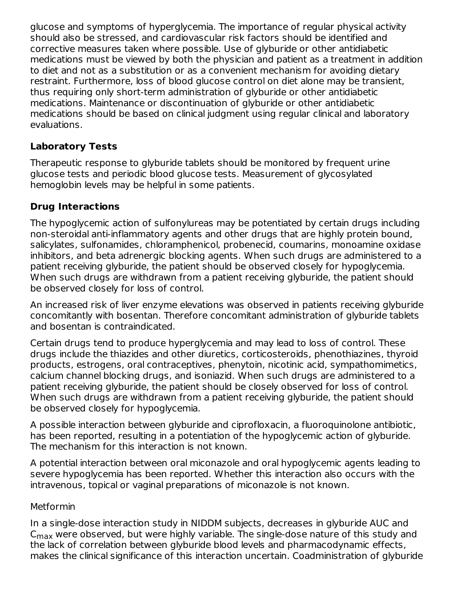glucose and symptoms of hyperglycemia. The importance of regular physical activity should also be stressed, and cardiovascular risk factors should be identified and corrective measures taken where possible. Use of glyburide or other antidiabetic medications must be viewed by both the physician and patient as a treatment in addition to diet and not as a substitution or as a convenient mechanism for avoiding dietary restraint. Furthermore, loss of blood glucose control on diet alone may be transient, thus requiring only short-term administration of glyburide or other antidiabetic medications. Maintenance or discontinuation of glyburide or other antidiabetic medications should be based on clinical judgment using regular clinical and laboratory evaluations.

## **Laboratory Tests**

Therapeutic response to glyburide tablets should be monitored by frequent urine glucose tests and periodic blood glucose tests. Measurement of glycosylated hemoglobin levels may be helpful in some patients.

# **Drug Interactions**

The hypoglycemic action of sulfonylureas may be potentiated by certain drugs including non-steroidal anti-inflammatory agents and other drugs that are highly protein bound, salicylates, sulfonamides, chloramphenicol, probenecid, coumarins, monoamine oxidase inhibitors, and beta adrenergic blocking agents. When such drugs are administered to a patient receiving glyburide, the patient should be observed closely for hypoglycemia. When such drugs are withdrawn from a patient receiving glyburide, the patient should be observed closely for loss of control.

An increased risk of liver enzyme elevations was observed in patients receiving glyburide concomitantly with bosentan. Therefore concomitant administration of glyburide tablets and bosentan is contraindicated.

Certain drugs tend to produce hyperglycemia and may lead to loss of control. These drugs include the thiazides and other diuretics, corticosteroids, phenothiazines, thyroid products, estrogens, oral contraceptives, phenytoin, nicotinic acid, sympathomimetics, calcium channel blocking drugs, and isoniazid. When such drugs are administered to a patient receiving glyburide, the patient should be closely observed for loss of control. When such drugs are withdrawn from a patient receiving glyburide, the patient should be observed closely for hypoglycemia.

A possible interaction between glyburide and ciprofloxacin, a fluoroquinolone antibiotic, has been reported, resulting in a potentiation of the hypoglycemic action of glyburide. The mechanism for this interaction is not known.

A potential interaction between oral miconazole and oral hypoglycemic agents leading to severe hypoglycemia has been reported. Whether this interaction also occurs with the intravenous, topical or vaginal preparations of miconazole is not known.

## Metformin

In a single-dose interaction study in NIDDM subjects, decreases in glyburide AUC and  $\mathsf{C}_{\mathsf{max}}$  were observed, but were highly variable. The single-dose nature of this study and the lack of correlation between glyburide blood levels and pharmacodynamic effects, makes the clinical significance of this interaction uncertain. Coadministration of glyburide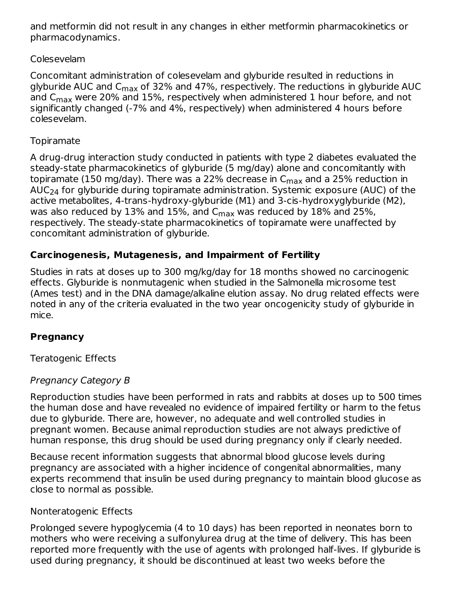and metformin did not result in any changes in either metformin pharmacokinetics or pharmacodynamics.

### Colesevelam

Concomitant administration of colesevelam and glyburide resulted in reductions in glyburide AUC and C<sub>max</sub> of 32% and 47%, respectively. The reductions in glyburide AUC and C $_{\sf max}$  were 20% and 15%, respectively when administered 1 hour before, and not significantly changed (-7% and 4%, respectively) when administered 4 hours before colesevelam.

### **Topiramate**

A drug-drug interaction study conducted in patients with type 2 diabetes evaluated the steady-state pharmacokinetics of glyburide (5 mg/day) alone and concomitantly with topiramate (150 mg/day). There was a 22% decrease in  $\mathsf{C}_{\mathsf{max}}$  and a 25% reduction in AUC $_{\rm 24}$  for glyburide during topiramate administration. Systemic exposure (AUC) of the active metabolites, 4-trans-hydroxy-glyburide (M1) and 3-cis-hydroxyglyburide (M2), was also reduced by  $13\%$  and  $15\%$ , and  $\mathsf{C}_{\mathsf{max}}$  was reduced by  $18\%$  and  $25\%$ , respectively. The steady-state pharmacokinetics of topiramate were unaffected by concomitant administration of glyburide.

## **Carcinogenesis, Mutagenesis, and Impairment of Fertility**

Studies in rats at doses up to 300 mg/kg/day for 18 months showed no carcinogenic effects. Glyburide is nonmutagenic when studied in the Salmonella microsome test (Ames test) and in the DNA damage/alkaline elution assay. No drug related effects were noted in any of the criteria evaluated in the two year oncogenicity study of glyburide in mice.

# **Pregnancy**

Teratogenic Effects

## Pregnancy Category B

Reproduction studies have been performed in rats and rabbits at doses up to 500 times the human dose and have revealed no evidence of impaired fertility or harm to the fetus due to glyburide. There are, however, no adequate and well controlled studies in pregnant women. Because animal reproduction studies are not always predictive of human response, this drug should be used during pregnancy only if clearly needed.

Because recent information suggests that abnormal blood glucose levels during pregnancy are associated with a higher incidence of congenital abnormalities, many experts recommend that insulin be used during pregnancy to maintain blood glucose as close to normal as possible.

#### Nonteratogenic Effects

Prolonged severe hypoglycemia (4 to 10 days) has been reported in neonates born to mothers who were receiving a sulfonylurea drug at the time of delivery. This has been reported more frequently with the use of agents with prolonged half-lives. If glyburide is used during pregnancy, it should be discontinued at least two weeks before the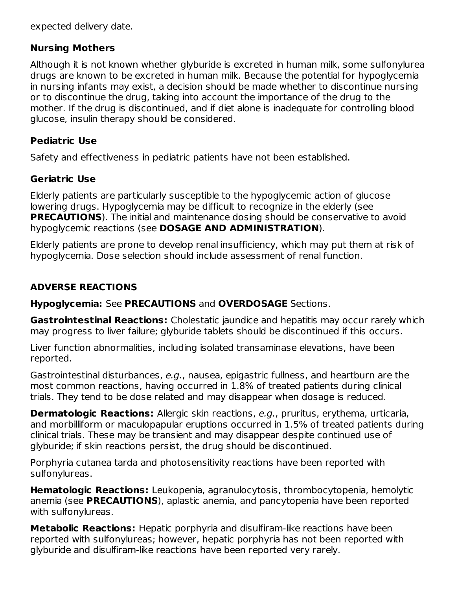expected delivery date.

### **Nursing Mothers**

Although it is not known whether glyburide is excreted in human milk, some sulfonylurea drugs are known to be excreted in human milk. Because the potential for hypoglycemia in nursing infants may exist, a decision should be made whether to discontinue nursing or to discontinue the drug, taking into account the importance of the drug to the mother. If the drug is discontinued, and if diet alone is inadequate for controlling blood glucose, insulin therapy should be considered.

### **Pediatric Use**

Safety and effectiveness in pediatric patients have not been established.

## **Geriatric Use**

Elderly patients are particularly susceptible to the hypoglycemic action of glucose lowering drugs. Hypoglycemia may be difficult to recognize in the elderly (see **PRECAUTIONS**). The initial and maintenance dosing should be conservative to avoid hypoglycemic reactions (see **DOSAGE AND ADMINISTRATION**).

Elderly patients are prone to develop renal insufficiency, which may put them at risk of hypoglycemia. Dose selection should include assessment of renal function.

## **ADVERSE REACTIONS**

**Hypoglycemia:** See **PRECAUTIONS** and **OVERDOSAGE** Sections.

**Gastrointestinal Reactions:** Cholestatic jaundice and hepatitis may occur rarely which may progress to liver failure; glyburide tablets should be discontinued if this occurs.

Liver function abnormalities, including isolated transaminase elevations, have been reported.

Gastrointestinal disturbances, e.g., nausea, epigastric fullness, and heartburn are the most common reactions, having occurred in 1.8% of treated patients during clinical trials. They tend to be dose related and may disappear when dosage is reduced.

**Dermatologic Reactions:** Allergic skin reactions, e.g., pruritus, erythema, urticaria, and morbilliform or maculopapular eruptions occurred in 1.5% of treated patients during clinical trials. These may be transient and may disappear despite continued use of glyburide; if skin reactions persist, the drug should be discontinued.

Porphyria cutanea tarda and photosensitivity reactions have been reported with sulfonylureas.

**Hematologic Reactions:** Leukopenia, agranulocytosis, thrombocytopenia, hemolytic anemia (see **PRECAUTIONS**), aplastic anemia, and pancytopenia have been reported with sulfonylureas.

**Metabolic Reactions:** Hepatic porphyria and disulfiram-like reactions have been reported with sulfonylureas; however, hepatic porphyria has not been reported with glyburide and disulfiram-like reactions have been reported very rarely.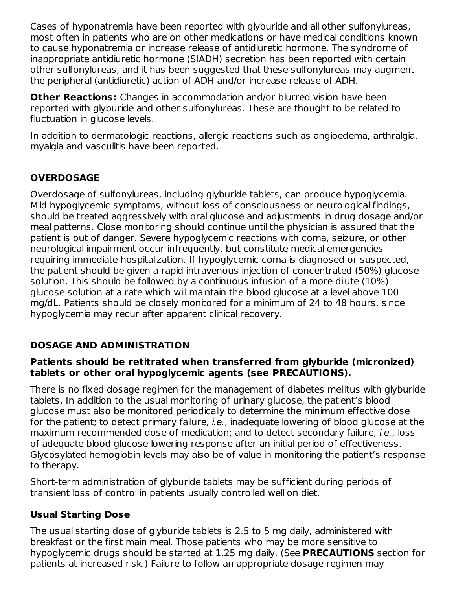Cases of hyponatremia have been reported with glyburide and all other sulfonylureas, most often in patients who are on other medications or have medical conditions known to cause hyponatremia or increase release of antidiuretic hormone. The syndrome of inappropriate antidiuretic hormone (SIADH) secretion has been reported with certain other sulfonylureas, and it has been suggested that these sulfonylureas may augment the peripheral (antidiuretic) action of ADH and/or increase release of ADH.

**Other Reactions:** Changes in accommodation and/or blurred vision have been reported with glyburide and other sulfonylureas. These are thought to be related to fluctuation in glucose levels.

In addition to dermatologic reactions, allergic reactions such as angioedema, arthralgia, myalgia and vasculitis have been reported.

## **OVERDOSAGE**

Overdosage of sulfonylureas, including glyburide tablets, can produce hypoglycemia. Mild hypoglycemic symptoms, without loss of consciousness or neurological findings, should be treated aggressively with oral glucose and adjustments in drug dosage and/or meal patterns. Close monitoring should continue until the physician is assured that the patient is out of danger. Severe hypoglycemic reactions with coma, seizure, or other neurological impairment occur infrequently, but constitute medical emergencies requiring immediate hospitalization. If hypoglycemic coma is diagnosed or suspected, the patient should be given a rapid intravenous injection of concentrated (50%) glucose solution. This should be followed by a continuous infusion of a more dilute (10%) glucose solution at a rate which will maintain the blood glucose at a level above 100 mg/dL. Patients should be closely monitored for a minimum of 24 to 48 hours, since hypoglycemia may recur after apparent clinical recovery.

# **DOSAGE AND ADMINISTRATION**

#### **Patients should be retitrated when transferred from glyburide (micronized) tablets or other oral hypoglycemic agents (see PRECAUTIONS).**

There is no fixed dosage regimen for the management of diabetes mellitus with glyburide tablets. In addition to the usual monitoring of urinary glucose, the patient's blood glucose must also be monitored periodically to determine the minimum effective dose for the patient; to detect primary failure, *i.e.*, inadequate lowering of blood glucose at the maximum recommended dose of medication; and to detect secondary failure, i.e., loss of adequate blood glucose lowering response after an initial period of effectiveness. Glycosylated hemoglobin levels may also be of value in monitoring the patient's response to therapy.

Short-term administration of glyburide tablets may be sufficient during periods of transient loss of control in patients usually controlled well on diet.

## **Usual Starting Dose**

The usual starting dose of glyburide tablets is 2.5 to 5 mg daily, administered with breakfast or the first main meal. Those patients who may be more sensitive to hypoglycemic drugs should be started at 1.25 mg daily. (See **PRECAUTIONS** section for patients at increased risk.) Failure to follow an appropriate dosage regimen may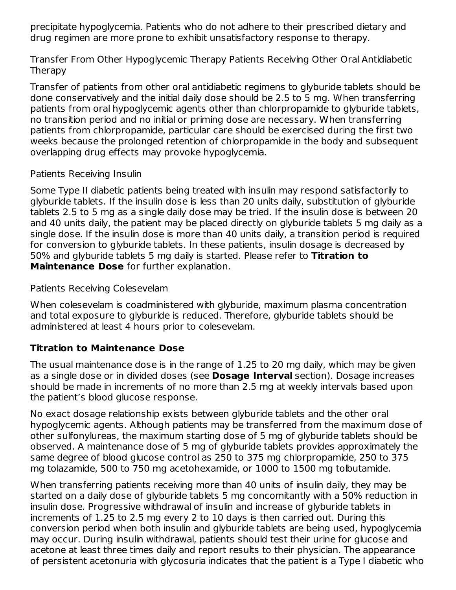precipitate hypoglycemia. Patients who do not adhere to their prescribed dietary and drug regimen are more prone to exhibit unsatisfactory response to therapy.

Transfer From Other Hypoglycemic Therapy Patients Receiving Other Oral Antidiabetic **Therapy** 

Transfer of patients from other oral antidiabetic regimens to glyburide tablets should be done conservatively and the initial daily dose should be 2.5 to 5 mg. When transferring patients from oral hypoglycemic agents other than chlorpropamide to glyburide tablets, no transition period and no initial or priming dose are necessary. When transferring patients from chlorpropamide, particular care should be exercised during the first two weeks because the prolonged retention of chlorpropamide in the body and subsequent overlapping drug effects may provoke hypoglycemia.

#### Patients Receiving Insulin

Some Type II diabetic patients being treated with insulin may respond satisfactorily to glyburide tablets. If the insulin dose is less than 20 units daily, substitution of glyburide tablets 2.5 to 5 mg as a single daily dose may be tried. If the insulin dose is between 20 and 40 units daily, the patient may be placed directly on glyburide tablets 5 mg daily as a single dose. If the insulin dose is more than 40 units daily, a transition period is required for conversion to glyburide tablets. In these patients, insulin dosage is decreased by 50% and glyburide tablets 5 mg daily is started. Please refer to **Titration to Maintenance Dose** for further explanation.

### Patients Receiving Colesevelam

When colesevelam is coadministered with glyburide, maximum plasma concentration and total exposure to glyburide is reduced. Therefore, glyburide tablets should be administered at least 4 hours prior to colesevelam.

## **Titration to Maintenance Dose**

The usual maintenance dose is in the range of 1.25 to 20 mg daily, which may be given as a single dose or in divided doses (see **Dosage Interval** section). Dosage increases should be made in increments of no more than 2.5 mg at weekly intervals based upon the patient's blood glucose response.

No exact dosage relationship exists between glyburide tablets and the other oral hypoglycemic agents. Although patients may be transferred from the maximum dose of other sulfonylureas, the maximum starting dose of 5 mg of glyburide tablets should be observed. A maintenance dose of 5 mg of glyburide tablets provides approximately the same degree of blood glucose control as 250 to 375 mg chlorpropamide, 250 to 375 mg tolazamide, 500 to 750 mg acetohexamide, or 1000 to 1500 mg tolbutamide.

When transferring patients receiving more than 40 units of insulin daily, they may be started on a daily dose of glyburide tablets 5 mg concomitantly with a 50% reduction in insulin dose. Progressive withdrawal of insulin and increase of glyburide tablets in increments of 1.25 to 2.5 mg every 2 to 10 days is then carried out. During this conversion period when both insulin and glyburide tablets are being used, hypoglycemia may occur. During insulin withdrawal, patients should test their urine for glucose and acetone at least three times daily and report results to their physician. The appearance of persistent acetonuria with glycosuria indicates that the patient is a Type I diabetic who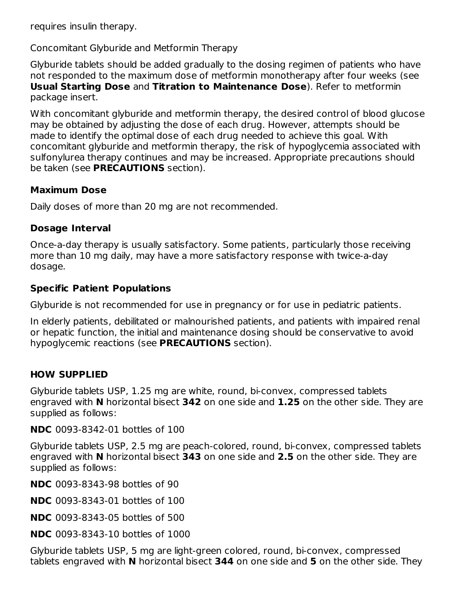requires insulin therapy.

Concomitant Glyburide and Metformin Therapy

Glyburide tablets should be added gradually to the dosing regimen of patients who have not responded to the maximum dose of metformin monotherapy after four weeks (see **Usual Starting Dose** and **Titration to Maintenance Dose**). Refer to metformin package insert.

With concomitant glyburide and metformin therapy, the desired control of blood glucose may be obtained by adjusting the dose of each drug. However, attempts should be made to identify the optimal dose of each drug needed to achieve this goal. With concomitant glyburide and metformin therapy, the risk of hypoglycemia associated with sulfonylurea therapy continues and may be increased. Appropriate precautions should be taken (see **PRECAUTIONS** section).

### **Maximum Dose**

Daily doses of more than 20 mg are not recommended.

## **Dosage Interval**

Once-a-day therapy is usually satisfactory. Some patients, particularly those receiving more than 10 mg daily, may have a more satisfactory response with twice-a-day dosage.

## **Specific Patient Populations**

Glyburide is not recommended for use in pregnancy or for use in pediatric patients.

In elderly patients, debilitated or malnourished patients, and patients with impaired renal or hepatic function, the initial and maintenance dosing should be conservative to avoid hypoglycemic reactions (see **PRECAUTIONS** section).

# **HOW SUPPLIED**

Glyburide tablets USP, 1.25 mg are white, round, bi-convex, compressed tablets engraved with **N** horizontal bisect **342** on one side and **1.25** on the other side. They are supplied as follows:

**NDC** 0093-8342-01 bottles of 100

Glyburide tablets USP, 2.5 mg are peach-colored, round, bi-convex, compressed tablets engraved with **N** horizontal bisect **343** on one side and **2.5** on the other side. They are supplied as follows:

**NDC** 0093-8343-98 bottles of 90

**NDC** 0093-8343-01 bottles of 100

**NDC** 0093-8343-05 bottles of 500

**NDC** 0093-8343-10 bottles of 1000

Glyburide tablets USP, 5 mg are light-green colored, round, bi-convex, compressed tablets engraved with **N** horizontal bisect **344** on one side and **5** on the other side. They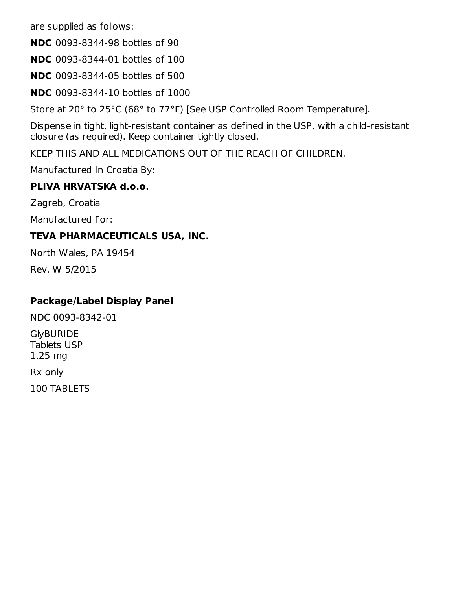are supplied as follows:

**NDC** 0093-8344-98 bottles of 90

**NDC** 0093-8344-01 bottles of 100

**NDC** 0093-8344-05 bottles of 500

**NDC** 0093-8344-10 bottles of 1000

Store at 20° to 25°C (68° to 77°F) [See USP Controlled Room Temperature].

Dispense in tight, light-resistant container as defined in the USP, with a child-resistant closure (as required). Keep container tightly closed.

KEEP THIS AND ALL MEDICATIONS OUT OF THE REACH OF CHILDREN.

Manufactured In Croatia By:

### **PLIVA HRVATSKA d.o.o.**

Zagreb, Croatia

Manufactured For:

### **TEVA PHARMACEUTICALS USA, INC.**

North Wales, PA 19454

Rev. W 5/2015

### **Package/Label Display Panel**

NDC 0093-8342-01

**GlyBURIDE** Tablets USP 1.25 mg

Rx only

100 TABLETS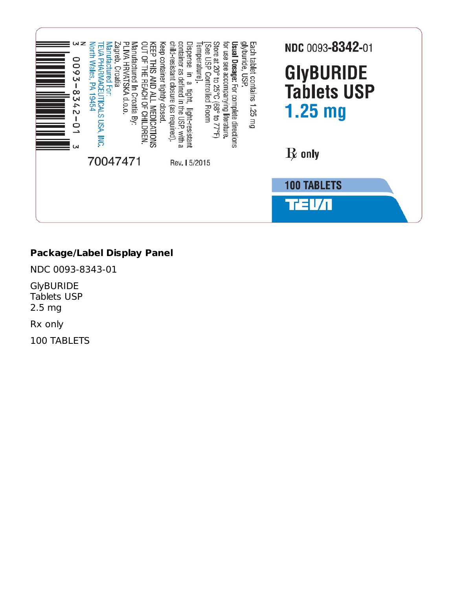

#### **Package/Label Display Panel**

NDC 0093-8343-01

**GlyBURIDE** Tablets USP 2.5 mg

Rx only

100 TABLETS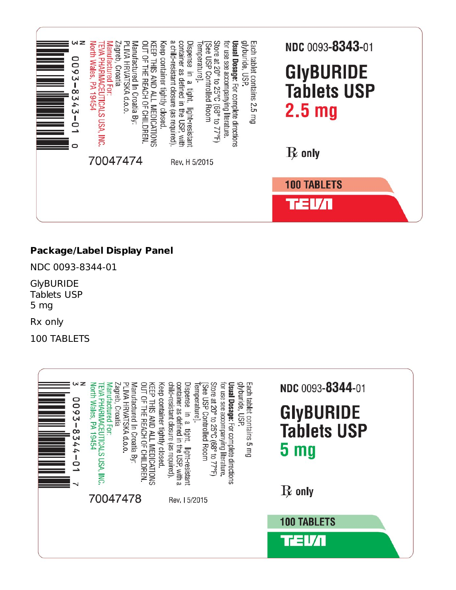

#### **Package/Label Display Panel**

NDC 0093-8344-01

**GlyBURIDE** Tablets USP 5 mg

Rx only

100 TABLETS

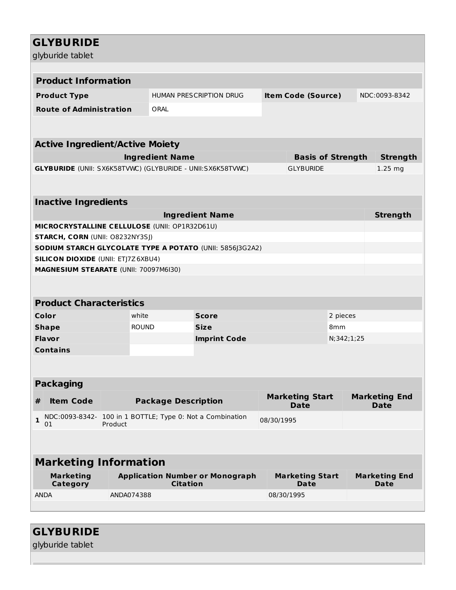| <b>GLYBURIDE</b><br>glyburide tablet                              |                                                                         |                                                      |                                |                          |                 |                                     |                 |  |  |
|-------------------------------------------------------------------|-------------------------------------------------------------------------|------------------------------------------------------|--------------------------------|--------------------------|-----------------|-------------------------------------|-----------------|--|--|
|                                                                   |                                                                         |                                                      |                                |                          |                 |                                     |                 |  |  |
| <b>Product Information</b>                                        |                                                                         |                                                      |                                |                          |                 |                                     |                 |  |  |
| <b>Product Type</b>                                               |                                                                         | HUMAN PRESCRIPTION DRUG<br><b>Item Code (Source)</b> |                                |                          |                 | NDC:0093-8342                       |                 |  |  |
| <b>Route of Administration</b>                                    | ORAL                                                                    |                                                      |                                |                          |                 |                                     |                 |  |  |
|                                                                   |                                                                         |                                                      |                                |                          |                 |                                     |                 |  |  |
| <b>Active Ingredient/Active Moiety</b>                            |                                                                         |                                                      |                                |                          |                 |                                     |                 |  |  |
| <b>Ingredient Name</b>                                            |                                                                         |                                                      |                                | <b>Basis of Strength</b> |                 |                                     | <b>Strength</b> |  |  |
| <b>GLYBURIDE</b> (UNII: SX6K58TVWC) (GLYBURIDE - UNII:SX6K58TVWC) |                                                                         |                                                      |                                | <b>GLYBURIDE</b>         |                 |                                     | $1.25$ mg       |  |  |
|                                                                   |                                                                         |                                                      |                                |                          |                 |                                     |                 |  |  |
| <b>Inactive Ingredients</b>                                       |                                                                         |                                                      |                                |                          |                 |                                     |                 |  |  |
| <b>Strength</b><br><b>Ingredient Name</b>                         |                                                                         |                                                      |                                |                          |                 |                                     |                 |  |  |
| MICROCRYSTALLINE CELLULOSE (UNII: OP1R32D61U)                     |                                                                         |                                                      |                                |                          |                 |                                     |                 |  |  |
| STARCH, CORN (UNII: 08232NY3SJ)                                   |                                                                         |                                                      |                                |                          |                 |                                     |                 |  |  |
| SODIUM STARCH GLYCOLATE TYPE A POTATO (UNII: 5856J3G2A2)          |                                                                         |                                                      |                                |                          |                 |                                     |                 |  |  |
| <b>SILICON DIOXIDE (UNII: ETJ7Z6XBU4)</b>                         |                                                                         |                                                      |                                |                          |                 |                                     |                 |  |  |
| MAGNESIUM STEARATE (UNII: 70097M6I30)                             |                                                                         |                                                      |                                |                          |                 |                                     |                 |  |  |
|                                                                   |                                                                         |                                                      |                                |                          |                 |                                     |                 |  |  |
| <b>Product Characteristics</b>                                    |                                                                         |                                                      |                                |                          |                 |                                     |                 |  |  |
| Color                                                             | white                                                                   | <b>Score</b>                                         |                                |                          | 2 pieces        |                                     |                 |  |  |
| <b>Shape</b>                                                      | <b>ROUND</b>                                                            | <b>Size</b>                                          |                                |                          | 8 <sub>mm</sub> |                                     |                 |  |  |
| <b>Flavor</b>                                                     |                                                                         | <b>Imprint Code</b>                                  |                                |                          | N;342;1;25      |                                     |                 |  |  |
| <b>Contains</b>                                                   |                                                                         |                                                      |                                |                          |                 |                                     |                 |  |  |
|                                                                   |                                                                         |                                                      |                                |                          |                 |                                     |                 |  |  |
| <b>Packaging</b>                                                  |                                                                         |                                                      |                                |                          |                 |                                     |                 |  |  |
| <b>Item Code</b><br>#                                             | <b>Package Description</b>                                              | <b>Marketing Start</b><br><b>Date</b>                |                                |                          |                 | <b>Marketing End</b><br><b>Date</b> |                 |  |  |
| $\mathbf{1}$<br>Product<br>01                                     | NDC:0093-8342- 100 in 1 BOTTLE; Type 0: Not a Combination<br>08/30/1995 |                                                      |                                |                          |                 |                                     |                 |  |  |
|                                                                   |                                                                         |                                                      |                                |                          |                 |                                     |                 |  |  |
| <b>Marketing Information</b>                                      |                                                                         |                                                      |                                |                          |                 |                                     |                 |  |  |
| <b>Marketing</b><br>Category                                      | <b>Application Number or Monograph</b><br><b>Citation</b>               |                                                      | <b>Marketing Start</b><br>Date |                          |                 | <b>Marketing End</b><br><b>Date</b> |                 |  |  |
| <b>ANDA</b><br>ANDA074388                                         |                                                                         |                                                      |                                | 08/30/1995               |                 |                                     |                 |  |  |
|                                                                   |                                                                         |                                                      |                                |                          |                 |                                     |                 |  |  |

**GLYBURIDE** glyburide tablet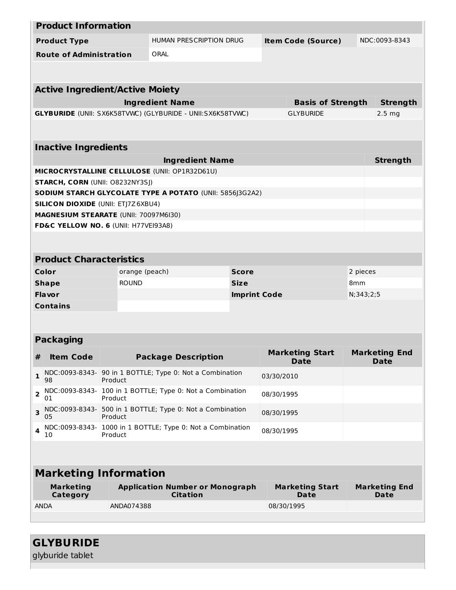| <b>Product Information</b>                                        |                                                                      |                                                          |              |                                       |                                             |             |                                     |  |
|-------------------------------------------------------------------|----------------------------------------------------------------------|----------------------------------------------------------|--------------|---------------------------------------|---------------------------------------------|-------------|-------------------------------------|--|
| <b>Product Type</b>                                               |                                                                      | HUMAN PRESCRIPTION DRUG                                  |              | <b>Item Code (Source)</b>             |                                             |             | NDC:0093-8343                       |  |
| <b>Route of Administration</b>                                    |                                                                      | ORAL                                                     |              |                                       |                                             |             |                                     |  |
|                                                                   |                                                                      |                                                          |              |                                       |                                             |             |                                     |  |
|                                                                   |                                                                      |                                                          |              |                                       |                                             |             |                                     |  |
| <b>Active Ingredient/Active Moiety</b>                            |                                                                      |                                                          |              |                                       |                                             |             |                                     |  |
| <b>Ingredient Name</b>                                            |                                                                      |                                                          |              |                                       | <b>Basis of Strength</b><br><b>Strength</b> |             |                                     |  |
| <b>GLYBURIDE</b> (UNII: SX6K58TVWC) (GLYBURIDE - UNII:SX6K58TVWC) |                                                                      |                                                          |              |                                       | <b>GLYBURIDE</b>                            |             | 2.5 <sub>mg</sub>                   |  |
|                                                                   |                                                                      |                                                          |              |                                       |                                             |             |                                     |  |
| <b>Inactive Ingredients</b>                                       |                                                                      |                                                          |              |                                       |                                             |             |                                     |  |
|                                                                   |                                                                      | <b>Ingredient Name</b>                                   |              |                                       |                                             |             | <b>Strength</b>                     |  |
| MICROCRYSTALLINE CELLULOSE (UNII: OP1R32D61U)                     |                                                                      |                                                          |              |                                       |                                             |             |                                     |  |
| STARCH, CORN (UNII: 08232NY3SJ)                                   |                                                                      |                                                          |              |                                       |                                             |             |                                     |  |
|                                                                   |                                                                      | SODIUM STARCH GLYCOLATE TYPE A POTATO (UNII: 5856J3G2A2) |              |                                       |                                             |             |                                     |  |
| <b>SILICON DIOXIDE (UNII: ETJ7Z6XBU4)</b>                         |                                                                      |                                                          |              |                                       |                                             |             |                                     |  |
| MAGNESIUM STEARATE (UNII: 70097M6I30)                             |                                                                      |                                                          |              |                                       |                                             |             |                                     |  |
| FD&C YELLOW NO. 6 (UNII: H77VEI93A8)                              |                                                                      |                                                          |              |                                       |                                             |             |                                     |  |
|                                                                   |                                                                      |                                                          |              |                                       |                                             |             |                                     |  |
| <b>Product Characteristics</b>                                    |                                                                      |                                                          |              |                                       |                                             |             |                                     |  |
| Color                                                             | orange (peach)                                                       |                                                          | <b>Score</b> | 2 pieces                              |                                             |             |                                     |  |
| <b>Shape</b><br><b>ROUND</b>                                      |                                                                      | <b>Size</b>                                              |              | 8 <sub>mm</sub>                       |                                             |             |                                     |  |
| Flavor                                                            |                                                                      | <b>Imprint Code</b>                                      |              |                                       |                                             |             | N;343;2;5                           |  |
| <b>Contains</b>                                                   |                                                                      |                                                          |              |                                       |                                             |             |                                     |  |
|                                                                   |                                                                      |                                                          |              |                                       |                                             |             |                                     |  |
| <b>Packaging</b>                                                  |                                                                      |                                                          |              |                                       |                                             |             |                                     |  |
| <b>Item Code</b><br>#                                             |                                                                      |                                                          |              | <b>Marketing Start</b>                |                                             |             | <b>Marketing End</b>                |  |
|                                                                   |                                                                      | <b>Package Description</b>                               |              | <b>Date</b>                           |                                             | <b>Date</b> |                                     |  |
| 1<br>98                                                           | Product                                                              | NDC:0093-8343- 90 in 1 BOTTLE; Type 0: Not a Combination |              | 03/30/2010                            |                                             |             |                                     |  |
| NDC:0093-8343-<br>2<br>01                                         | 100 in 1 BOTTLE; Type 0: Not a Combination<br>Product                |                                                          |              | 08/30/1995                            |                                             |             |                                     |  |
| 3<br>05                                                           | NDC:0093-8343- 500 in 1 BOTTLE; Type 0: Not a Combination<br>Product |                                                          |              | 08/30/1995                            |                                             |             |                                     |  |
| NDC:0093-8343-<br>4<br>10                                         | 1000 in 1 BOTTLE; Type 0: Not a Combination<br>Product               |                                                          |              | 08/30/1995                            |                                             |             |                                     |  |
|                                                                   |                                                                      |                                                          |              |                                       |                                             |             |                                     |  |
|                                                                   |                                                                      |                                                          |              |                                       |                                             |             |                                     |  |
| <b>Marketing Information</b>                                      |                                                                      |                                                          |              |                                       |                                             |             |                                     |  |
| <b>Marketing</b><br>Category                                      | <b>Application Number or Monograph</b><br><b>Citation</b>            |                                                          |              | <b>Marketing Start</b><br><b>Date</b> |                                             |             | <b>Marketing End</b><br><b>Date</b> |  |
| <b>ANDA</b>                                                       |                                                                      | ANDA074388                                               |              |                                       | 08/30/1995                                  |             |                                     |  |
|                                                                   |                                                                      |                                                          |              |                                       |                                             |             |                                     |  |

**GLYBURIDE** glyburide tablet